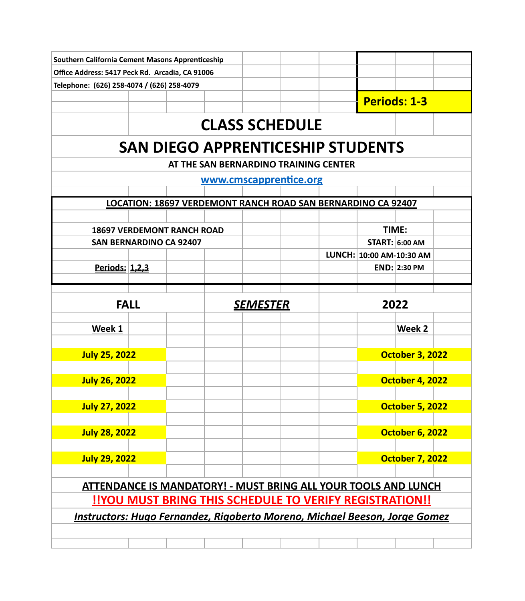|  | Southern California Cement Masons Apprenticeship                                                                                                                                                                                                                                                                                                                                                                                                                                                                                                                                                                                                                                                                                                                                                                                                                                                                                                                                                                       |  |  |  |  |  |  |  |  |  |
|--|------------------------------------------------------------------------------------------------------------------------------------------------------------------------------------------------------------------------------------------------------------------------------------------------------------------------------------------------------------------------------------------------------------------------------------------------------------------------------------------------------------------------------------------------------------------------------------------------------------------------------------------------------------------------------------------------------------------------------------------------------------------------------------------------------------------------------------------------------------------------------------------------------------------------------------------------------------------------------------------------------------------------|--|--|--|--|--|--|--|--|--|
|  | Office Address: 5417 Peck Rd. Arcadia, CA 91006                                                                                                                                                                                                                                                                                                                                                                                                                                                                                                                                                                                                                                                                                                                                                                                                                                                                                                                                                                        |  |  |  |  |  |  |  |  |  |
|  |                                                                                                                                                                                                                                                                                                                                                                                                                                                                                                                                                                                                                                                                                                                                                                                                                                                                                                                                                                                                                        |  |  |  |  |  |  |  |  |  |
|  |                                                                                                                                                                                                                                                                                                                                                                                                                                                                                                                                                                                                                                                                                                                                                                                                                                                                                                                                                                                                                        |  |  |  |  |  |  |  |  |  |
|  |                                                                                                                                                                                                                                                                                                                                                                                                                                                                                                                                                                                                                                                                                                                                                                                                                                                                                                                                                                                                                        |  |  |  |  |  |  |  |  |  |
|  |                                                                                                                                                                                                                                                                                                                                                                                                                                                                                                                                                                                                                                                                                                                                                                                                                                                                                                                                                                                                                        |  |  |  |  |  |  |  |  |  |
|  | Telephone: (626) 258-4074 / (626) 258-4079<br><b>Periods: 1-3</b><br><b>CLASS SCHEDULE</b><br><b>SAN DIEGO APPRENTICESHIP STUDENTS</b><br>AT THE SAN BERNARDINO TRAINING CENTER<br>www.cmscapprentice.org<br>LOCATION: 18697 VERDEMONT RANCH ROAD SAN BERNARDINO CA 92407<br>TIME:<br><b>18697 VERDEMONT RANCH ROAD</b><br><b>START: 6:00 AM</b><br><b>SAN BERNARDINO CA 92407</b><br>LUNCH: 10:00 AM-10:30 AM<br><u>Periods: 1,2,3</u><br><b>END: 2:30 PM</b><br><b>FALL</b><br>2022<br><u>SEMESTER</u><br>Week 1<br>Week 2<br><b>July 25, 2022</b><br><b>October 3, 2022</b><br><b>July 26, 2022</b><br><b>October 4, 2022</b><br><b>July 27, 2022</b><br><b>October 5, 2022</b><br><b>July 28, 2022</b><br><b>October 6, 2022</b><br><b>July 29, 2022</b><br><b>October 7, 2022</b><br><b>ATTENDANCE IS MANDATORY! - MUST BRING ALL YOUR TOOLS AND LUNCH</b><br><b>!!YOU MUST BRING THIS SCHEDULE TO VERIFY REGISTRATION!!</b><br><b>Instructors: Hugo Fernandez, Rigoberto Moreno, Michael Beeson, Jorge Gomez</b> |  |  |  |  |  |  |  |  |  |
|  |                                                                                                                                                                                                                                                                                                                                                                                                                                                                                                                                                                                                                                                                                                                                                                                                                                                                                                                                                                                                                        |  |  |  |  |  |  |  |  |  |
|  |                                                                                                                                                                                                                                                                                                                                                                                                                                                                                                                                                                                                                                                                                                                                                                                                                                                                                                                                                                                                                        |  |  |  |  |  |  |  |  |  |
|  |                                                                                                                                                                                                                                                                                                                                                                                                                                                                                                                                                                                                                                                                                                                                                                                                                                                                                                                                                                                                                        |  |  |  |  |  |  |  |  |  |
|  |                                                                                                                                                                                                                                                                                                                                                                                                                                                                                                                                                                                                                                                                                                                                                                                                                                                                                                                                                                                                                        |  |  |  |  |  |  |  |  |  |
|  |                                                                                                                                                                                                                                                                                                                                                                                                                                                                                                                                                                                                                                                                                                                                                                                                                                                                                                                                                                                                                        |  |  |  |  |  |  |  |  |  |
|  |                                                                                                                                                                                                                                                                                                                                                                                                                                                                                                                                                                                                                                                                                                                                                                                                                                                                                                                                                                                                                        |  |  |  |  |  |  |  |  |  |
|  |                                                                                                                                                                                                                                                                                                                                                                                                                                                                                                                                                                                                                                                                                                                                                                                                                                                                                                                                                                                                                        |  |  |  |  |  |  |  |  |  |
|  |                                                                                                                                                                                                                                                                                                                                                                                                                                                                                                                                                                                                                                                                                                                                                                                                                                                                                                                                                                                                                        |  |  |  |  |  |  |  |  |  |
|  |                                                                                                                                                                                                                                                                                                                                                                                                                                                                                                                                                                                                                                                                                                                                                                                                                                                                                                                                                                                                                        |  |  |  |  |  |  |  |  |  |
|  |                                                                                                                                                                                                                                                                                                                                                                                                                                                                                                                                                                                                                                                                                                                                                                                                                                                                                                                                                                                                                        |  |  |  |  |  |  |  |  |  |
|  |                                                                                                                                                                                                                                                                                                                                                                                                                                                                                                                                                                                                                                                                                                                                                                                                                                                                                                                                                                                                                        |  |  |  |  |  |  |  |  |  |
|  |                                                                                                                                                                                                                                                                                                                                                                                                                                                                                                                                                                                                                                                                                                                                                                                                                                                                                                                                                                                                                        |  |  |  |  |  |  |  |  |  |
|  |                                                                                                                                                                                                                                                                                                                                                                                                                                                                                                                                                                                                                                                                                                                                                                                                                                                                                                                                                                                                                        |  |  |  |  |  |  |  |  |  |
|  |                                                                                                                                                                                                                                                                                                                                                                                                                                                                                                                                                                                                                                                                                                                                                                                                                                                                                                                                                                                                                        |  |  |  |  |  |  |  |  |  |
|  |                                                                                                                                                                                                                                                                                                                                                                                                                                                                                                                                                                                                                                                                                                                                                                                                                                                                                                                                                                                                                        |  |  |  |  |  |  |  |  |  |
|  |                                                                                                                                                                                                                                                                                                                                                                                                                                                                                                                                                                                                                                                                                                                                                                                                                                                                                                                                                                                                                        |  |  |  |  |  |  |  |  |  |
|  |                                                                                                                                                                                                                                                                                                                                                                                                                                                                                                                                                                                                                                                                                                                                                                                                                                                                                                                                                                                                                        |  |  |  |  |  |  |  |  |  |
|  |                                                                                                                                                                                                                                                                                                                                                                                                                                                                                                                                                                                                                                                                                                                                                                                                                                                                                                                                                                                                                        |  |  |  |  |  |  |  |  |  |
|  |                                                                                                                                                                                                                                                                                                                                                                                                                                                                                                                                                                                                                                                                                                                                                                                                                                                                                                                                                                                                                        |  |  |  |  |  |  |  |  |  |
|  |                                                                                                                                                                                                                                                                                                                                                                                                                                                                                                                                                                                                                                                                                                                                                                                                                                                                                                                                                                                                                        |  |  |  |  |  |  |  |  |  |
|  |                                                                                                                                                                                                                                                                                                                                                                                                                                                                                                                                                                                                                                                                                                                                                                                                                                                                                                                                                                                                                        |  |  |  |  |  |  |  |  |  |
|  |                                                                                                                                                                                                                                                                                                                                                                                                                                                                                                                                                                                                                                                                                                                                                                                                                                                                                                                                                                                                                        |  |  |  |  |  |  |  |  |  |
|  |                                                                                                                                                                                                                                                                                                                                                                                                                                                                                                                                                                                                                                                                                                                                                                                                                                                                                                                                                                                                                        |  |  |  |  |  |  |  |  |  |
|  |                                                                                                                                                                                                                                                                                                                                                                                                                                                                                                                                                                                                                                                                                                                                                                                                                                                                                                                                                                                                                        |  |  |  |  |  |  |  |  |  |